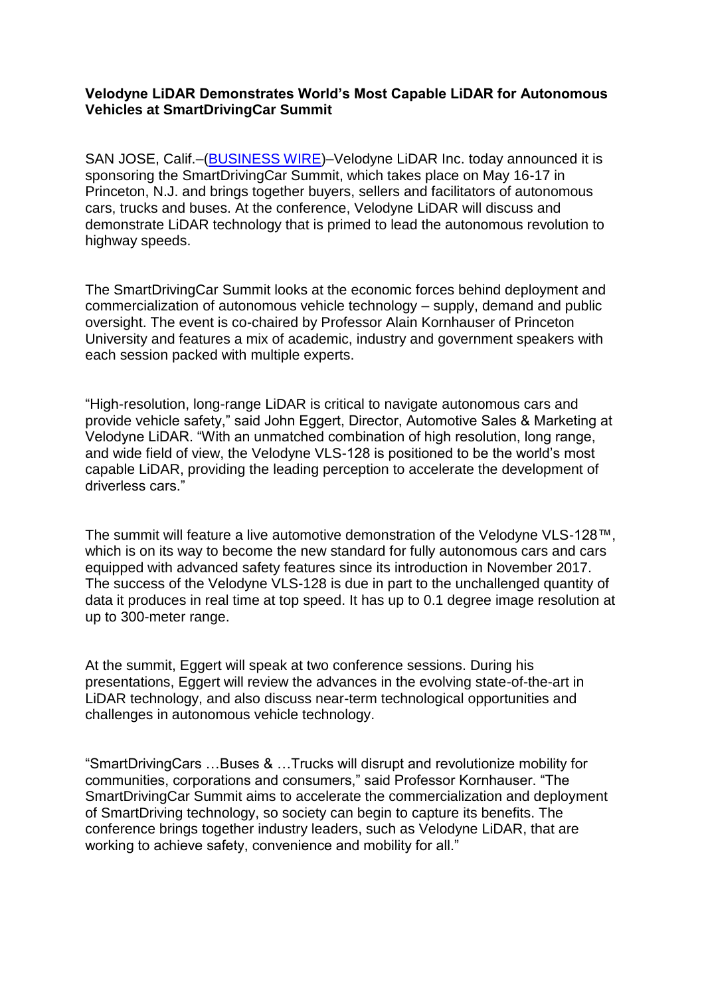## **Velodyne LiDAR Demonstrates World's Most Capable LiDAR for Autonomous Vehicles at SmartDrivingCar Summit**

SAN JOSE, Calif.–[\(BUSINESS WIRE\)](https://www.businesswire.com/)–Velodyne LiDAR Inc. today announced it is sponsoring the SmartDrivingCar Summit, which takes place on May 16-17 in Princeton, N.J. and brings together buyers, sellers and facilitators of autonomous cars, trucks and buses. At the conference, Velodyne LiDAR will discuss and demonstrate LiDAR technology that is primed to lead the autonomous revolution to highway speeds.

The SmartDrivingCar Summit looks at the economic forces behind deployment and commercialization of autonomous vehicle technology – supply, demand and public oversight. The event is co-chaired by Professor Alain Kornhauser of Princeton University and features a mix of academic, industry and government speakers with each session packed with multiple experts.

"High-resolution, long-range LiDAR is critical to navigate autonomous cars and provide vehicle safety," said John Eggert, Director, Automotive Sales & Marketing at Velodyne LiDAR. "With an unmatched combination of high resolution, long range, and wide field of view, the Velodyne VLS-128 is positioned to be the world's most capable LiDAR, providing the leading perception to accelerate the development of driverless cars."

The summit will feature a live automotive demonstration of the Velodyne VLS-128™, which is on its way to become the new standard for fully autonomous cars and cars equipped with advanced safety features since its introduction in November 2017. The success of the Velodyne VLS-128 is due in part to the unchallenged quantity of data it produces in real time at top speed. It has up to 0.1 degree image resolution at up to 300-meter range.

At the summit, Eggert will speak at two conference sessions. During his presentations, Eggert will review the advances in the evolving state-of-the-art in LiDAR technology, and also discuss near-term technological opportunities and challenges in autonomous vehicle technology.

"SmartDrivingCars …Buses & …Trucks will disrupt and revolutionize mobility for communities, corporations and consumers," said Professor Kornhauser. "The SmartDrivingCar Summit aims to accelerate the commercialization and deployment of SmartDriving technology, so society can begin to capture its benefits. The conference brings together industry leaders, such as Velodyne LiDAR, that are working to achieve safety, convenience and mobility for all."